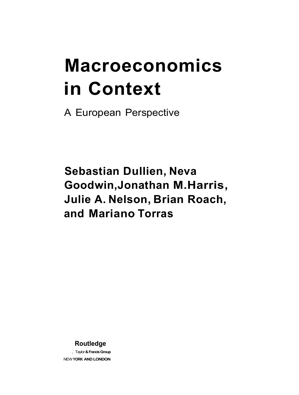## **Macroeconomics in Context**

A European Perspective

**Sebastian Dullien, Neva Goodwin,Jonathan M.Harris, Julie A. Nelson, Brian Roach, and Mariano Torras** 

**Routledge** 

, Taylor **& Francis Group**  NEW **YORK AND LONDON**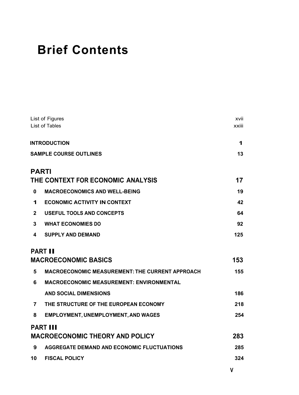## **Brief Contents**

| List of Figures                                        |                                                                                                                                                                                                                                           |
|--------------------------------------------------------|-------------------------------------------------------------------------------------------------------------------------------------------------------------------------------------------------------------------------------------------|
|                                                        | xxiii                                                                                                                                                                                                                                     |
|                                                        | 1                                                                                                                                                                                                                                         |
|                                                        | 13                                                                                                                                                                                                                                        |
|                                                        |                                                                                                                                                                                                                                           |
|                                                        | 17                                                                                                                                                                                                                                        |
| <b>MACROECONOMICS AND WELL-BEING</b>                   | 19                                                                                                                                                                                                                                        |
| <b>ECONOMIC ACTIVITY IN CONTEXT</b>                    | 42                                                                                                                                                                                                                                        |
| <b>USEFUL TOOLS AND CONCEPTS</b>                       | 64                                                                                                                                                                                                                                        |
| <b>WHAT ECONOMIES DO</b>                               | 92                                                                                                                                                                                                                                        |
| <b>SUPPLY AND DEMAND</b>                               | 125                                                                                                                                                                                                                                       |
|                                                        |                                                                                                                                                                                                                                           |
|                                                        | 153                                                                                                                                                                                                                                       |
| <b>MACROECONOMIC MEASUREMENT: THE CURRENT APPROACH</b> | 155                                                                                                                                                                                                                                       |
| <b>MACROECONOMIC MEASUREMENT: ENVIRONMENTAL</b>        |                                                                                                                                                                                                                                           |
| <b>AND SOCIAL DIMENSIONS</b>                           | 186                                                                                                                                                                                                                                       |
| THE STRUCTURE OF THE EUROPEAN ECONOMY                  | 218                                                                                                                                                                                                                                       |
| <b>EMPLOYMENT, UNEMPLOYMENT, AND WAGES</b>             | 254                                                                                                                                                                                                                                       |
|                                                        |                                                                                                                                                                                                                                           |
|                                                        | 283                                                                                                                                                                                                                                       |
| AGGREGATE DEMAND AND ECONOMIC FLUCTUATIONS             | 285                                                                                                                                                                                                                                       |
| <b>FISCAL POLICY</b>                                   | 324                                                                                                                                                                                                                                       |
|                                                        | List of Tables<br><b>INTRODUCTION</b><br><b>SAMPLE COURSE OUTLINES</b><br><b>PARTI</b><br>THE CONTEXT FOR ECONOMIC ANALYSIS<br><b>PART II</b><br><b>MACROECONOMIC BASICS</b><br><b>PART III</b><br><b>MACROECONOMIC THEORY AND POLICY</b> |

**V**